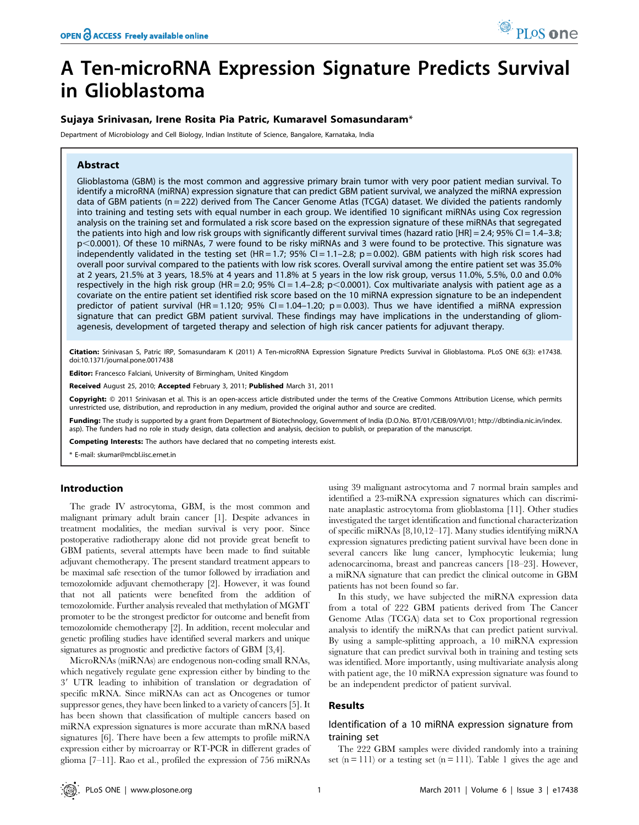# A Ten-microRNA Expression Signature Predicts Survival in Glioblastoma

## Sujaya Srinivasan, Irene Rosita Pia Patric, Kumaravel Somasundaram\*

Department of Microbiology and Cell Biology, Indian Institute of Science, Bangalore, Karnataka, India

## Abstract

Glioblastoma (GBM) is the most common and aggressive primary brain tumor with very poor patient median survival. To identify a microRNA (miRNA) expression signature that can predict GBM patient survival, we analyzed the miRNA expression data of GBM patients (n = 222) derived from The Cancer Genome Atlas (TCGA) dataset. We divided the patients randomly into training and testing sets with equal number in each group. We identified 10 significant miRNAs using Cox regression analysis on the training set and formulated a risk score based on the expression signature of these miRNAs that segregated the patients into high and low risk groups with significantly different survival times (hazard ratio [HR] =  $2.4$ ;  $95\%$  CI =  $1.4-3.8$ ; p<0.0001). Of these 10 miRNAs, 7 were found to be risky miRNAs and 3 were found to be protective. This signature was independently validated in the testing set (HR = 1.7; 95% CI = 1.1-2.8; p = 0.002). GBM patients with high risk scores had overall poor survival compared to the patients with low risk scores. Overall survival among the entire patient set was 35.0% at 2 years, 21.5% at 3 years, 18.5% at 4 years and 11.8% at 5 years in the low risk group, versus 11.0%, 5.5%, 0.0 and 0.0% respectively in the high risk group (HR = 2.0; 95% CI = 1.4-2.8;  $p$  < 0.0001). Cox multivariate analysis with patient age as a covariate on the entire patient set identified risk score based on the 10 miRNA expression signature to be an independent predictor of patient survival (HR = 1.120; 95% CI = 1.04-1.20; p = 0.003). Thus we have identified a miRNA expression signature that can predict GBM patient survival. These findings may have implications in the understanding of gliomagenesis, development of targeted therapy and selection of high risk cancer patients for adjuvant therapy.

Citation: Srinivasan S, Patric IRP, Somasundaram K (2011) A Ten-microRNA Expression Signature Predicts Survival in Glioblastoma. PLoS ONE 6(3): e17438. doi:10.1371/journal.pone.0017438

Editor: Francesco Falciani, University of Birmingham, United Kingdom

Received August 25, 2010; Accepted February 3, 2011; Published March 31, 2011

Copyright: © 2011 Srinivasan et al. This is an open-access article distributed under the terms of the Creative Commons Attribution License, which permits unrestricted use, distribution, and reproduction in any medium, provided the original author and source are credited.

Funding: The study is supported by a grant from Department of Biotechnology, Government of India (D.O.No. BT/01/CEIB/09/VI/01; http://dbtindia.nic.in/index. asp). The funders had no role in study design, data collection and analysis, decision to publish, or preparation of the manuscript.

Competing Interests: The authors have declared that no competing interests exist.

\* E-mail: skumar@mcbl.iisc.ernet.in

# Introduction

The grade IV astrocytoma, GBM, is the most common and malignant primary adult brain cancer [1]. Despite advances in treatment modalities, the median survival is very poor. Since postoperative radiotherapy alone did not provide great benefit to GBM patients, several attempts have been made to find suitable adjuvant chemotherapy. The present standard treatment appears to be maximal safe resection of the tumor followed by irradiation and temozolomide adjuvant chemotherapy [2]. However, it was found that not all patients were benefited from the addition of temozolomide. Further analysis revealed that methylation of MGMT promoter to be the strongest predictor for outcome and benefit from temozolomide chemotherapy [2]. In addition, recent molecular and genetic profiling studies have identified several markers and unique signatures as prognostic and predictive factors of GBM [3,4].

MicroRNAs (miRNAs) are endogenous non-coding small RNAs, which negatively regulate gene expression either by binding to the 3' UTR leading to inhibition of translation or degradation of specific mRNA. Since miRNAs can act as Oncogenes or tumor suppressor genes, they have been linked to a variety of cancers [5]. It has been shown that classification of multiple cancers based on miRNA expression signatures is more accurate than mRNA based signatures [6]. There have been a few attempts to profile miRNA expression either by microarray or RT-PCR in different grades of glioma [7–11]. Rao et al., profiled the expression of 756 miRNAs

using 39 malignant astrocytoma and 7 normal brain samples and identified a 23-miRNA expression signatures which can discriminate anaplastic astrocytoma from glioblastoma [11]. Other studies investigated the target identification and functional characterization of specific miRNAs [8,10,12–17]. Many studies identifying miRNA expression signatures predicting patient survival have been done in several cancers like lung cancer, lymphocytic leukemia; lung adenocarcinoma, breast and pancreas cancers [18–23]. However, a miRNA signature that can predict the clinical outcome in GBM patients has not been found so far.

In this study, we have subjected the miRNA expression data from a total of 222 GBM patients derived from The Cancer Genome Atlas (TCGA) data set to Cox proportional regression analysis to identify the miRNAs that can predict patient survival. By using a sample-splitting approach, a 10 miRNA expression signature that can predict survival both in training and testing sets was identified. More importantly, using multivariate analysis along with patient age, the 10 miRNA expression signature was found to be an independent predictor of patient survival.

#### Results

## Identification of a 10 miRNA expression signature from training set

The 222 GBM samples were divided randomly into a training set  $(n = 111)$  or a testing set  $(n = 111)$ . Table 1 gives the age and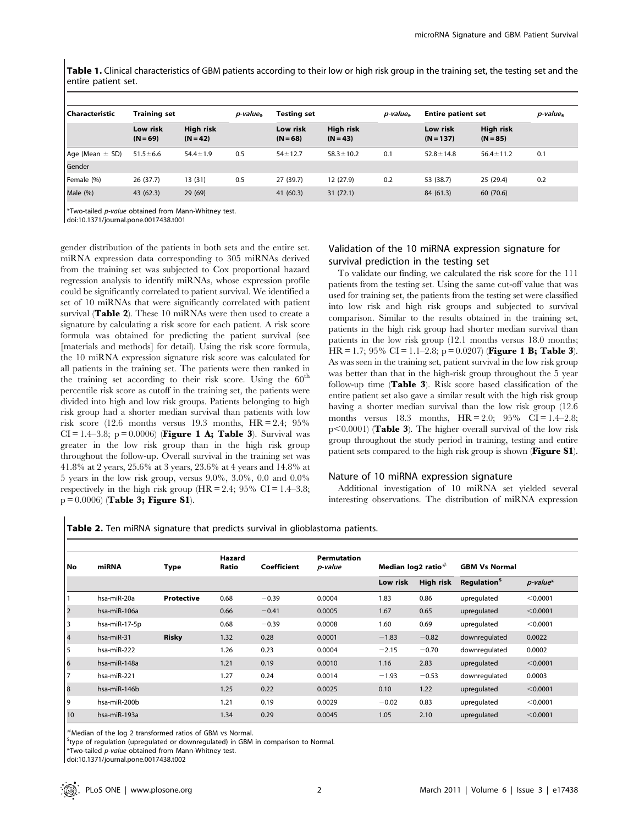Table 1. Clinical characteristics of GBM patients according to their low or high risk group in the training set, the testing set and the entire patient set.

| l Characteristic    | <b>Training set</b>    |                         | <i>p-value</i> * | <b>Testing set</b>     |                                | p-value* | <b>Entire patient set</b> |                                | p-value <sub>*</sub> |
|---------------------|------------------------|-------------------------|------------------|------------------------|--------------------------------|----------|---------------------------|--------------------------------|----------------------|
|                     | Low risk<br>$(N = 69)$ | High risk<br>$(N = 42)$ |                  | Low risk<br>$(N = 68)$ | <b>High risk</b><br>$(N = 43)$ |          | Low risk<br>$(N = 137)$   | <b>High risk</b><br>$(N = 85)$ |                      |
| Age (Mean $\pm$ SD) | $51.5 \pm 6.6$         | $54.4 \pm 1.9$          | 0.5              | $54 + 12.7$            | $58.3 \pm 10.2$                | 0.1      | $52.8 \pm 14.8$           | $56.4 \pm 11.2$                | 0.1                  |
| Gender              |                        |                         |                  |                        |                                |          |                           |                                |                      |
| Female (%)          | 26 (37.7)              | 13 (31)                 | 0.5              | 27 (39.7)              | 12 (27.9)                      | 0.2      | 53 (38.7)                 | 25 (29.4)                      | 0.2                  |
| Male $(% )$         | 43 (62.3)              | 29 (69)                 |                  | 41 (60.3)              | 31(72.1)                       |          | 84 (61.3)                 | 60 (70.6)                      |                      |

\*Two-tailed p-value obtained from Mann-Whitney test.

doi:10.1371/journal.pone.0017438.t001

gender distribution of the patients in both sets and the entire set. miRNA expression data corresponding to 305 miRNAs derived from the training set was subjected to Cox proportional hazard regression analysis to identify miRNAs, whose expression profile could be significantly correlated to patient survival. We identified a set of 10 miRNAs that were significantly correlated with patient survival (Table 2). These 10 miRNAs were then used to create a signature by calculating a risk score for each patient. A risk score formula was obtained for predicting the patient survival (see [materials and methods] for detail). Using the risk score formula, the 10 miRNA expression signature risk score was calculated for all patients in the training set. The patients were then ranked in the training set according to their risk score. Using the  $60<sup>th</sup>$ percentile risk score as cutoff in the training set, the patients were divided into high and low risk groups. Patients belonging to high risk group had a shorter median survival than patients with low risk score (12.6 months versus 19.3 months,  $HR = 2.4$ ; 95%  $CI = 1.4 - 3.8$ ; p = 0.0006) (**Figure 1 A; Table 3**). Survival was greater in the low risk group than in the high risk group throughout the follow-up. Overall survival in the training set was 41.8% at 2 years, 25.6% at 3 years, 23.6% at 4 years and 14.8% at 5 years in the low risk group, versus 9.0%, 3.0%, 0.0 and 0.0% respectively in the high risk group  $(HR = 2.4; 95\% \text{ CI} = 1.4-3.8;$  $p = 0.0006$  (Table 3; Figure S1).

# Validation of the 10 miRNA expression signature for survival prediction in the testing set

To validate our finding, we calculated the risk score for the 111 patients from the testing set. Using the same cut-off value that was used for training set, the patients from the testing set were classified into low risk and high risk groups and subjected to survival comparison. Similar to the results obtained in the training set, patients in the high risk group had shorter median survival than patients in the low risk group (12.1 months versus 18.0 months; HR = 1.7; 95% CI = 1.1–2.8; p = 0.0207) (**Figure 1 B; Table 3**). As was seen in the training set, patient survival in the low risk group was better than that in the high-risk group throughout the 5 year follow-up time (Table 3). Risk score based classification of the entire patient set also gave a similar result with the high risk group having a shorter median survival than the low risk group  $(12.6$ months versus 18.3 months,  $HR = 2.0$ ;  $95\%$   $CI = 1.4-2.8$ ;  $p<0.0001$  (Table 3). The higher overall survival of the low risk group throughout the study period in training, testing and entire patient sets compared to the high risk group is shown (Figure S1).

# Nature of 10 miRNA expression signature

Additional investigation of 10 miRNA set yielded several interesting observations. The distribution of miRNA expression

Table 2. Ten miRNA signature that predicts survival in glioblastoma patients.

|      |               |              | Hazard |             | <b>Permutation</b> |                      |           |                                |          |
|------|---------------|--------------|--------|-------------|--------------------|----------------------|-----------|--------------------------------|----------|
| l No | miRNA         | <b>Type</b>  | Ratio  | Coefficient | p-value            | Median $log2$ ratio# |           | <b>GBM Vs Normal</b>           |          |
|      |               |              |        |             |                    | Low risk             | High risk | <b>Regulation</b> <sup>5</sup> | p-value* |
|      | hsa-miR-20a   | Protective   | 0.68   | $-0.39$     | 0.0004             | 1.83                 | 0.86      | upregulated                    | < 0.0001 |
| 2    | hsa-miR-106a  |              | 0.66   | $-0.41$     | 0.0005             | 1.67                 | 0.65      | upregulated                    | < 0.0001 |
| l 3  | hsa-miR-17-5p |              | 0.68   | $-0.39$     | 0.0008             | 1.60                 | 0.69      | upregulated                    | < 0.0001 |
| 4    | hsa-miR-31    | <b>Risky</b> | 1.32   | 0.28        | 0.0001             | $-1.83$              | $-0.82$   | downregulated                  | 0.0022   |
| 5    | hsa-miR-222   |              | 1.26   | 0.23        | 0.0004             | $-2.15$              | $-0.70$   | downregulated                  | 0.0002   |
| 6    | hsa-miR-148a  |              | 1.21   | 0.19        | 0.0010             | 1.16                 | 2.83      | upregulated                    | < 0.0001 |
| 17   | hsa-miR-221   |              | 1.27   | 0.24        | 0.0014             | $-1.93$              | $-0.53$   | downregulated                  | 0.0003   |
| 8    | hsa-miR-146b  |              | 1.25   | 0.22        | 0.0025             | 0.10                 | 1.22      | upregulated                    | < 0.0001 |
| 9    | hsa-miR-200b  |              | 1.21   | 0.19        | 0.0029             | $-0.02$              | 0.83      | upregulated                    | < 0.0001 |
| 10   | hsa-miR-193a  |              | 1.34   | 0.29        | 0.0045             | 1.05                 | 2.10      | upregulated                    | < 0.0001 |

 $^{\#}$ Median of the log 2 transformed ratios of GBM vs Normal.

<sup>\$</sup>type of regulation (upregulated or downregulated) in GBM in comparison to Normal.

\*Two-tailed p-value obtained from Mann-Whitney test.

doi:10.1371/journal.pone.0017438.t002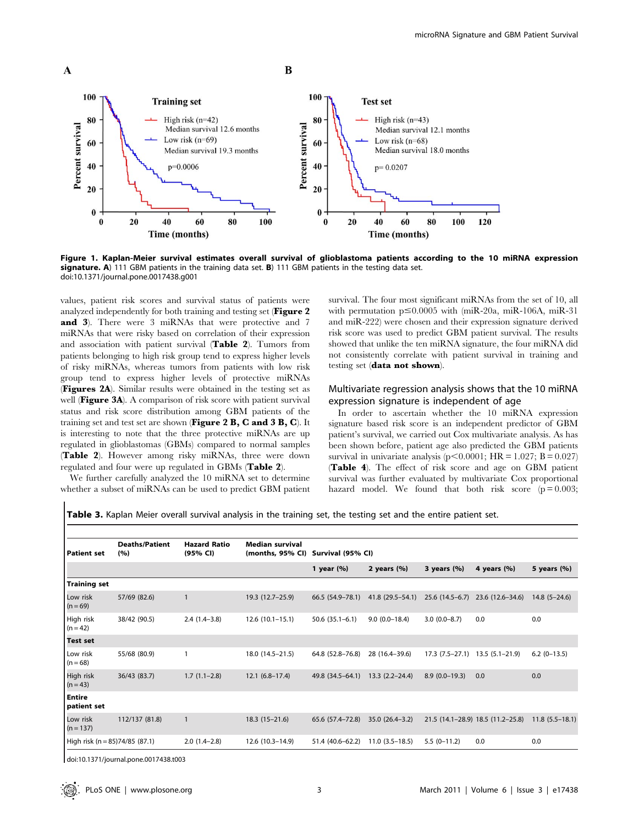

Figure 1. Kaplan-Meier survival estimates overall survival of glioblastoma patients according to the 10 miRNA expression signature. A) 111 GBM patients in the training data set. B) 111 GBM patients in the testing data set. doi:10.1371/journal.pone.0017438.g001

values, patient risk scores and survival status of patients were analyzed independently for both training and testing set (Figure 2 and 3). There were 3 miRNAs that were protective and 7 miRNAs that were risky based on correlation of their expression and association with patient survival (Table 2). Tumors from patients belonging to high risk group tend to express higher levels of risky miRNAs, whereas tumors from patients with low risk group tend to express higher levels of protective miRNAs (Figures 2A). Similar results were obtained in the testing set as well (Figure 3A). A comparison of risk score with patient survival status and risk score distribution among GBM patients of the training set and test set are shown (Figure 2 B, C and 3 B, C). It is interesting to note that the three protective miRNAs are up regulated in glioblastomas (GBMs) compared to normal samples (Table 2). However among risky miRNAs, three were down regulated and four were up regulated in GBMs (Table 2).

We further carefully analyzed the 10 miRNA set to determine whether a subset of miRNAs can be used to predict GBM patient survival. The four most significant miRNAs from the set of 10, all with permutation  $p \le 0.0005$  with (miR-20a, miR-106A, miR-31 and miR-222) were chosen and their expression signature derived risk score was used to predict GBM patient survival. The results showed that unlike the ten miRNA signature, the four miRNA did not consistently correlate with patient survival in training and testing set (data not shown).

# Multivariate regression analysis shows that the 10 miRNA expression signature is independent of age

In order to ascertain whether the 10 miRNA expression signature based risk score is an independent predictor of GBM patient's survival, we carried out Cox multivariate analysis. As has been shown before, patient age also predicted the GBM patients survival in univariate analysis ( $p<0.0001$ ; HR = 1.027; B = 0.027) (Table 4). The effect of risk score and age on GBM patient survival was further evaluated by multivariate Cox proportional hazard model. We found that both risk score  $(p=0.003;$ 

Table 3. Kaplan Meier overall survival analysis in the training set, the testing set and the entire patient set.

| Patient set                    | <b>Deaths/Patient</b><br>(%) | <b>Hazard Ratio</b><br>(95% CI) | <b>Median survival</b><br>(months, 95% CI) | Survival (95% CI)  |                    |                  |                                   |                    |  |
|--------------------------------|------------------------------|---------------------------------|--------------------------------------------|--------------------|--------------------|------------------|-----------------------------------|--------------------|--|
|                                |                              |                                 |                                            | 1 year $(\%)$      | 2 years $(%)$      | 3 years $(\%)$   | 4 years $(\% )$                   | 5 years (%)        |  |
| <b>Training set</b>            |                              |                                 |                                            |                    |                    |                  |                                   |                    |  |
| Low risk<br>$(n = 69)$         | 57/69 (82.6)                 | $\mathbf{1}$                    | 19.3 (12.7-25.9)                           | $66.5(54.9-78.1)$  | 41.8 (29.5–54.1)   | $25.6(14.5-6.7)$ | 23.6 (12.6-34.6)                  | $14.8$ (5-24.6)    |  |
| High risk<br>$(n = 42)$        | 38/42 (90.5)                 | $2.4(1.4-3.8)$                  | $12.6(10.1-15.1)$                          | $50.6(35.1 - 6.1)$ | $9.0(0.0-18.4)$    | $3.0(0.0-8.7)$   | 0.0                               | 0.0                |  |
| <b>Test set</b>                |                              |                                 |                                            |                    |                    |                  |                                   |                    |  |
| Low risk<br>$(n = 68)$         | 55/68 (80.9)                 | $\mathbf{1}$                    | 18.0 (14.5–21.5)                           | 64.8 (52.8-76.8)   | 28 (16.4-39.6)     | $17.3(7.5-27.1)$ | $13.5(5.1-21.9)$                  | $6.2$ (0-13.5)     |  |
| High risk<br>$(n = 43)$        | 36/43 (83.7)                 | $1.7(1.1-2.8)$                  | $12.1 (6.8 - 17.4)$                        | 49.8 (34.5–64.1)   | $13.3(2.2 - 24.4)$ | $8.9(0.0-19.3)$  | 0.0                               | 0.0                |  |
| <b>Entire</b><br>patient set   |                              |                                 |                                            |                    |                    |                  |                                   |                    |  |
| Low risk<br>$(n = 137)$        | 112/137 (81.8)               | $\mathbf{1}$                    | $18.3(15-21.6)$                            | 65.6 (57.4-72.8)   | $35.0(26.4-3.2)$   |                  | 21.5 (14.1-28.9) 18.5 (11.2-25.8) | $11.8(5.5 - 18.1)$ |  |
| High risk (n = 85)74/85 (87.1) |                              | $2.0(1.4-2.8)$                  | $12.6(10.3-14.9)$                          | 51.4 (40.6-62.2)   | $11.0(3.5-18.5)$   | $5.5(0-11.2)$    | 0.0                               | 0.0                |  |

doi:10.1371/journal.pone.0017438.t003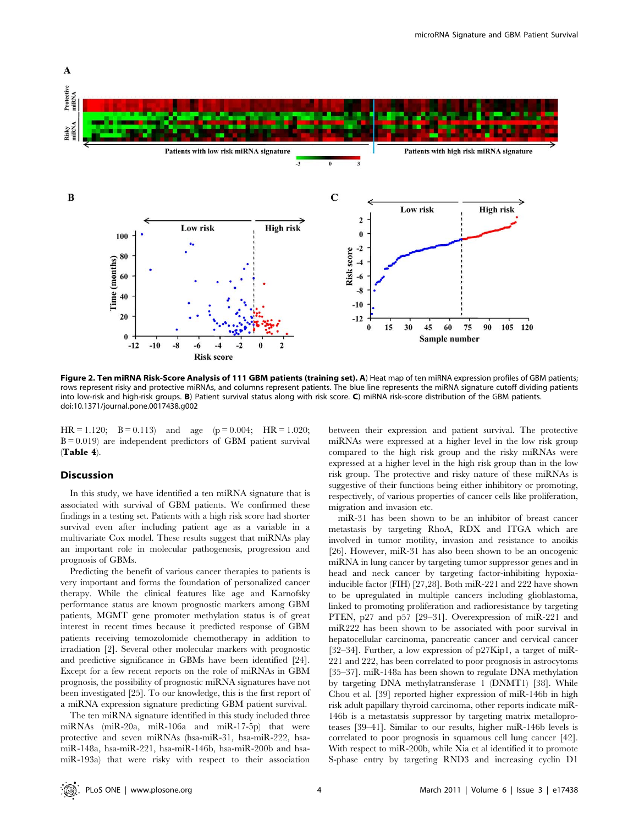

Figure 2. Ten miRNA Risk-Score Analysis of 111 GBM patients (training set). A) Heat map of ten miRNA expression profiles of GBM patients; rows represent risky and protective miRNAs, and columns represent patients. The blue line represents the miRNA signature cutoff dividing patients into low-risk and high-risk groups. B) Patient survival status along with risk score. C) miRNA risk-score distribution of the GBM patients. doi:10.1371/journal.pone.0017438.g002

 $HR = 1.120$ ;  $B = 0.113$  and age (p = 0.004;  $HR = 1.020$ ;  $B = 0.019$  are independent predictors of GBM patient survival (Table 4).

### Discussion

In this study, we have identified a ten miRNA signature that is associated with survival of GBM patients. We confirmed these findings in a testing set. Patients with a high risk score had shorter survival even after including patient age as a variable in a multivariate Cox model. These results suggest that miRNAs play an important role in molecular pathogenesis, progression and prognosis of GBMs.

Predicting the benefit of various cancer therapies to patients is very important and forms the foundation of personalized cancer therapy. While the clinical features like age and Karnofsky performance status are known prognostic markers among GBM patients, MGMT gene promoter methylation status is of great interest in recent times because it predicted response of GBM patients receiving temozolomide chemotherapy in addition to irradiation [2]. Several other molecular markers with prognostic and predictive significance in GBMs have been identified [24]. Except for a few recent reports on the role of miRNAs in GBM prognosis, the possibility of prognostic miRNA signatures have not been investigated [25]. To our knowledge, this is the first report of a miRNA expression signature predicting GBM patient survival.

The ten miRNA signature identified in this study included three miRNAs (miR-20a, miR-106a and miR-17-5p) that were protective and seven miRNAs (hsa-miR-31, hsa-miR-222, hsamiR-148a, hsa-miR-221, hsa-miR-146b, hsa-miR-200b and hsamiR-193a) that were risky with respect to their association between their expression and patient survival. The protective miRNAs were expressed at a higher level in the low risk group compared to the high risk group and the risky miRNAs were expressed at a higher level in the high risk group than in the low risk group. The protective and risky nature of these miRNAs is suggestive of their functions being either inhibitory or promoting, respectively, of various properties of cancer cells like proliferation, migration and invasion etc.

miR-31 has been shown to be an inhibitor of breast cancer metastasis by targeting RhoA, RDX and ITGA which are involved in tumor motility, invasion and resistance to anoikis [26]. However, miR-31 has also been shown to be an oncogenic miRNA in lung cancer by targeting tumor suppressor genes and in head and neck cancer by targeting factor-inhibiting hypoxiainducible factor (FIH) [27,28]. Both miR-221 and 222 have shown to be upregulated in multiple cancers including glioblastoma, linked to promoting proliferation and radioresistance by targeting PTEN, p27 and p57 [29–31]. Overexpression of miR-221 and miR222 has been shown to be associated with poor survival in hepatocellular carcinoma, pancreatic cancer and cervical cancer [32–34]. Further, a low expression of p27Kip1, a target of miR-221 and 222, has been correlated to poor prognosis in astrocytoms [35–37]. miR-148a has been shown to regulate DNA methylation by targeting DNA methylatransferase 1 (DNMT1) [38]. While Chou et al. [39] reported higher expression of miR-146b in high risk adult papillary thyroid carcinoma, other reports indicate miR-146b is a metastatsis suppressor by targeting matrix metalloproteases [39–41]. Similar to our results, higher miR-146b levels is correlated to poor prognosis in squamous cell lung cancer [42]. With respect to miR-200b, while Xia et al identified it to promote S-phase entry by targeting RND3 and increasing cyclin D1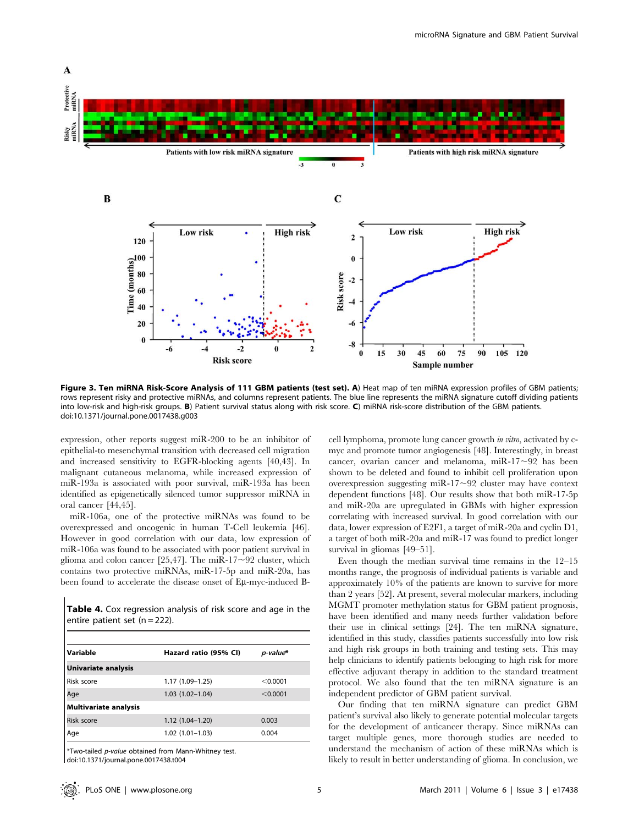

Figure 3. Ten miRNA Risk-Score Analysis of 111 GBM patients (test set). A) Heat map of ten miRNA expression profiles of GBM patients; rows represent risky and protective miRNAs, and columns represent patients. The blue line represents the miRNA signature cutoff dividing patients into low-risk and high-risk groups. B) Patient survival status along with risk score. C) miRNA risk-score distribution of the GBM patients. doi:10.1371/journal.pone.0017438.g003

expression, other reports suggest miR-200 to be an inhibitor of epithelial-to mesenchymal transition with decreased cell migration and increased sensitivity to EGFR-blocking agents [40,43]. In malignant cutaneous melanoma, while increased expression of miR-193a is associated with poor survival, miR-193a has been identified as epigenetically silenced tumor suppressor miRNA in oral cancer [44,45].

miR-106a, one of the protective miRNAs was found to be overexpressed and oncogenic in human T-Cell leukemia [46]. However in good correlation with our data, low expression of miR-106a was found to be associated with poor patient survival in glioma and colon cancer [25,47]. The miR-17 $\sim$ 92 cluster, which contains two protective miRNAs, miR-17-5p and miR-20a, has been found to accelerate the disease onset of Eu-myc-induced B-

Table 4. Cox regression analysis of risk score and age in the entire patient set  $(n = 222)$ .

| Variable                     | Hazard ratio (95% CI) | p-value* |
|------------------------------|-----------------------|----------|
| <b>Univariate analysis</b>   |                       |          |
| Risk score                   | $1.17(1.09 - 1.25)$   | < 0.0001 |
| Age                          | $1.03(1.02 - 1.04)$   | < 0.0001 |
| <b>Multivariate analysis</b> |                       |          |
| Risk score                   | $1.12(1.04-1.20)$     | 0.003    |
| Age                          | $1.02(1.01 - 1.03)$   | 0.004    |

\*Two-tailed p-value obtained from Mann-Whitney test. doi:10.1371/journal.pone.0017438.t004

cell lymphoma, promote lung cancer growth in vitro, activated by cmyc and promote tumor angiogenesis [48]. Interestingly, in breast cancer, ovarian cancer and melanoma, miR-17 $\sim$ 92 has been shown to be deleted and found to inhibit cell proliferation upon overexpression suggesting miR-17 $\sim$ 92 cluster may have context dependent functions [48]. Our results show that both miR-17-5p and miR-20a are upregulated in GBMs with higher expression correlating with increased survival. In good correlation with our data, lower expression of E2F1, a target of miR-20a and cyclin D1, a target of both miR-20a and miR-17 was found to predict longer survival in gliomas [49–51].

Even though the median survival time remains in the 12–15 months range, the prognosis of individual patients is variable and approximately 10% of the patients are known to survive for more than 2 years [52]. At present, several molecular markers, including MGMT promoter methylation status for GBM patient prognosis, have been identified and many needs further validation before their use in clinical settings [24]. The ten miRNA signature, identified in this study, classifies patients successfully into low risk and high risk groups in both training and testing sets. This may help clinicians to identify patients belonging to high risk for more effective adjuvant therapy in addition to the standard treatment protocol. We also found that the ten miRNA signature is an independent predictor of GBM patient survival.

Our finding that ten miRNA signature can predict GBM patient's survival also likely to generate potential molecular targets for the development of anticancer therapy. Since miRNAs can target multiple genes, more thorough studies are needed to understand the mechanism of action of these miRNAs which is likely to result in better understanding of glioma. In conclusion, we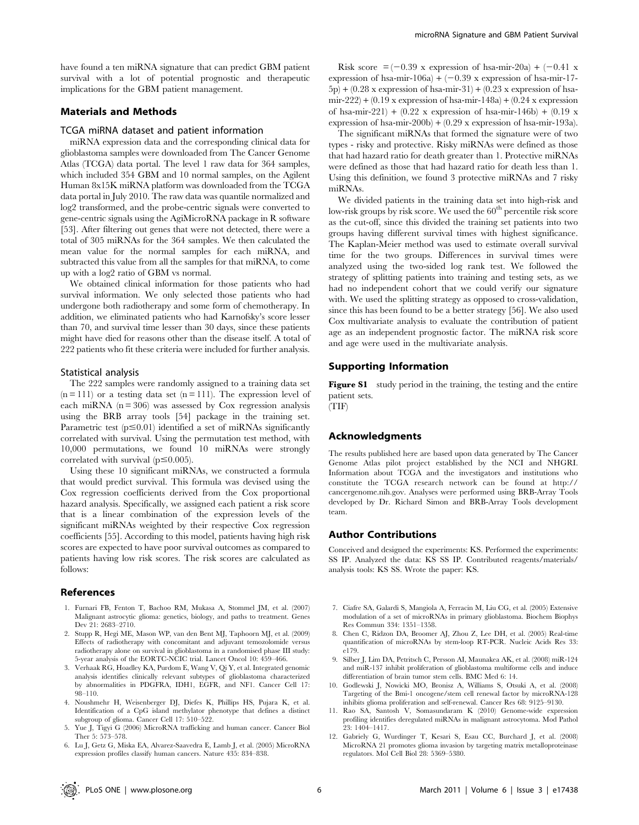have found a ten miRNA signature that can predict GBM patient survival with a lot of potential prognostic and therapeutic implications for the GBM patient management.

## Materials and Methods

#### TCGA miRNA dataset and patient information

miRNA expression data and the corresponding clinical data for glioblastoma samples were downloaded from The Cancer Genome Atlas (TCGA) data portal. The level 1 raw data for 364 samples, which included 354 GBM and 10 normal samples, on the Agilent Human 8x15K miRNA platform was downloaded from the TCGA data portal in July 2010. The raw data was quantile normalized and log2 transformed, and the probe-centric signals were converted to gene-centric signals using the AgiMicroRNA package in R software [53]. After filtering out genes that were not detected, there were a total of 305 miRNAs for the 364 samples. We then calculated the mean value for the normal samples for each miRNA, and subtracted this value from all the samples for that miRNA, to come up with a log2 ratio of GBM vs normal.

We obtained clinical information for those patients who had survival information. We only selected those patients who had undergone both radiotherapy and some form of chemotherapy. In addition, we eliminated patients who had Karnofsky's score lesser than 70, and survival time lesser than 30 days, since these patients might have died for reasons other than the disease itself. A total of 222 patients who fit these criteria were included for further analysis.

#### Statistical analysis

The 222 samples were randomly assigned to a training data set  $(n = 111)$  or a testing data set  $(n = 111)$ . The expression level of each miRNA  $(n = 306)$  was assessed by Cox regression analysis using the BRB array tools [54] package in the training set. Parametric test  $(p \le 0.01)$  identified a set of miRNAs significantly correlated with survival. Using the permutation test method, with 10,000 permutations, we found 10 miRNAs were strongly correlated with survival ( $p \le 0.005$ ).

Using these 10 significant miRNAs, we constructed a formula that would predict survival. This formula was devised using the Cox regression coefficients derived from the Cox proportional hazard analysis. Specifically, we assigned each patient a risk score that is a linear combination of the expression levels of the significant miRNAs weighted by their respective Cox regression coefficients [55]. According to this model, patients having high risk scores are expected to have poor survival outcomes as compared to patients having low risk scores. The risk scores are calculated as follows:

#### References

- 1. Furnari FB, Fenton T, Bachoo RM, Mukasa A, Stommel JM, et al. (2007) Malignant astrocytic glioma: genetics, biology, and paths to treatment. Genes Dev 21: 2683-2710.
- 2. Stupp R, Hegi ME, Mason WP, van den Bent MJ, Taphoorn MJ, et al. (2009) Effects of radiotherapy with concomitant and adjuvant temozolomide versus radiotherapy alone on survival in glioblastoma in a randomised phase III study: 5-year analysis of the EORTC-NCIC trial. Lancet Oncol 10: 459–466.
- 3. Verhaak RG, Hoadley KA, Purdom E, Wang V, Qi Y, et al. Integrated genomic analysis identifies clinically relevant subtypes of glioblastoma characterized by abnormalities in PDGFRA, IDH1, EGFR, and NF1. Cancer Cell 17: 98–110.
- 4. Noushmehr H, Weisenberger DJ, Diefes K, Phillips HS, Pujara K, et al. Identification of a CpG island methylator phenotype that defines a distinct subgroup of glioma. Cancer Cell 17: 510–522.
- 5. Yue J, Tigyi G (2006) MicroRNA trafficking and human cancer. Cancer Biol Ther 5: 573–578.
- 6. Lu J, Getz G, Miska EA, Alvarez-Saavedra E, Lamb J, et al. (2005) MicroRNA expression profiles classify human cancers. Nature 435: 834–838.

Risk score  $= (-0.39 \times \text{expression of has-mir-20a}) + (-0.41 \times$ expression of hsa-mir-106a) +  $(-0.39 \text{ x expression of has-mir-17-})$  $(5p) + (0.28 \text{ x expression of has-mir-31}) + (0.23 \text{ x expression of has$ mir-222) +  $(0.19 \text{ x expression of has-mir-148a}) + (0.24 \text{ x expression})$ of hsa-mir-221) +  $(0.22 \times$  expression of hsa-mir-146b) +  $(0.19 \times$ expression of hsa-mir-200b) +  $(0.29 \times$  expression of hsa-mir-193a).

The significant miRNAs that formed the signature were of two types - risky and protective. Risky miRNAs were defined as those that had hazard ratio for death greater than 1. Protective miRNAs were defined as those that had hazard ratio for death less than 1. Using this definition, we found 3 protective miRNAs and 7 risky miRNAs.

We divided patients in the training data set into high-risk and low-risk groups by risk score. We used the  $60<sup>th</sup>$  percentile risk score as the cut-off, since this divided the training set patients into two groups having different survival times with highest significance. The Kaplan-Meier method was used to estimate overall survival time for the two groups. Differences in survival times were analyzed using the two-sided log rank test. We followed the strategy of splitting patients into training and testing sets, as we had no independent cohort that we could verify our signature with. We used the splitting strategy as opposed to cross-validation, since this has been found to be a better strategy [56]. We also used Cox multivariate analysis to evaluate the contribution of patient age as an independent prognostic factor. The miRNA risk score and age were used in the multivariate analysis.

#### Supporting Information

Figure S1 study period in the training, the testing and the entire patient sets.

(TIF)

## Acknowledgments

The results published here are based upon data generated by The Cancer Genome Atlas pilot project established by the NCI and NHGRI. Information about TCGA and the investigators and institutions who constitute the TCGA research network can be found at http:// cancergenome.nih.gov. Analyses were performed using BRB-Array Tools developed by Dr. Richard Simon and BRB-Array Tools development team.

## Author Contributions

Conceived and designed the experiments: KS. Performed the experiments: SS IP. Analyzed the data: KS SS IP. Contributed reagents/materials/ analysis tools: KS SS. Wrote the paper: KS.

- 7. Ciafre SA, Galardi S, Mangiola A, Ferracin M, Liu CG, et al. (2005) Extensive modulation of a set of microRNAs in primary glioblastoma. Biochem Biophys Res Commun 334: 1351–1358.
- 8. Chen C, Ridzon DA, Broomer AJ, Zhou Z, Lee DH, et al. (2005) Real-time quantification of microRNAs by stem-loop RT-PCR. Nucleic Acids Res 33: e179.
- 9. Silber J, Lim DA, Petritsch C, Persson AI, Maunakea AK, et al. (2008) miR-124 and miR-137 inhibit proliferation of glioblastoma multiforme cells and induce differentiation of brain tumor stem cells. BMC Med 6: 14.
- 10. Godlewski J, Nowicki MO, Bronisz A, Williams S, Otsuki A, et al. (2008) Targeting of the Bmi-1 oncogene/stem cell renewal factor by microRNA-128 inhibits glioma proliferation and self-renewal. Cancer Res 68: 9125–9130.
- 11. Rao SA, Santosh V, Somasundaram K (2010) Genome-wide expression profiling identifies deregulated miRNAs in malignant astrocytoma. Mod Pathol 23: 1404–1417.
- 12. Gabriely G, Wurdinger T, Kesari S, Esau CC, Burchard J, et al. (2008) MicroRNA 21 promotes glioma invasion by targeting matrix metalloproteinase regulators. Mol Cell Biol 28: 5369–5380.